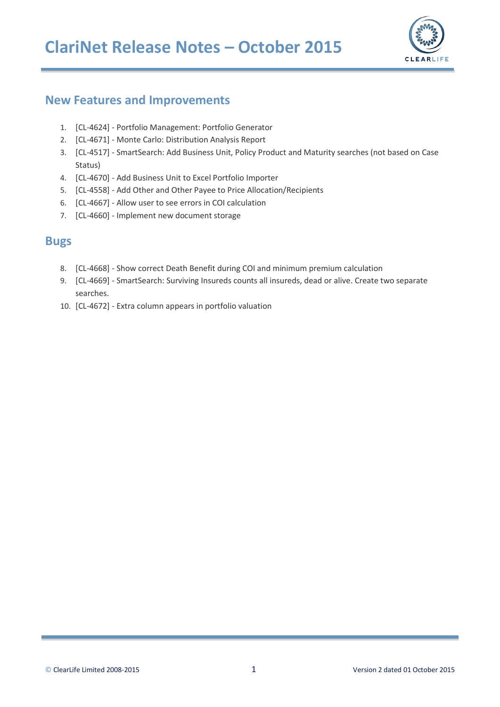

#### **New Features and Improvements**

- 1. [CL-4624] Portfolio Management: Portfolio Generator
- 2. [CL-4671] Monte Carlo: Distribution Analysis Report
- 3. [CL-4517] SmartSearch: Add Business Unit, Policy Product and Maturity searches (not based on Case Status)
- 4. [CL-4670] Add Business Unit to Excel Portfolio Importer
- 5. [CL-4558] Add Other and Other Payee to Price Allocation/Recipients
- 6. [CL-4667] Allow user to see errors in COI calculation
- 7. [CL-4660] Implement new document storage

#### **Bugs**

- 8. [CL-4668] Show correct Death Benefit during COI and minimum premium calculation
- 9. [CL-4669] SmartSearch: Surviving Insureds counts all insureds, dead or alive. Create two separate searches.
- 10. [CL-4672] Extra column appears in portfolio valuation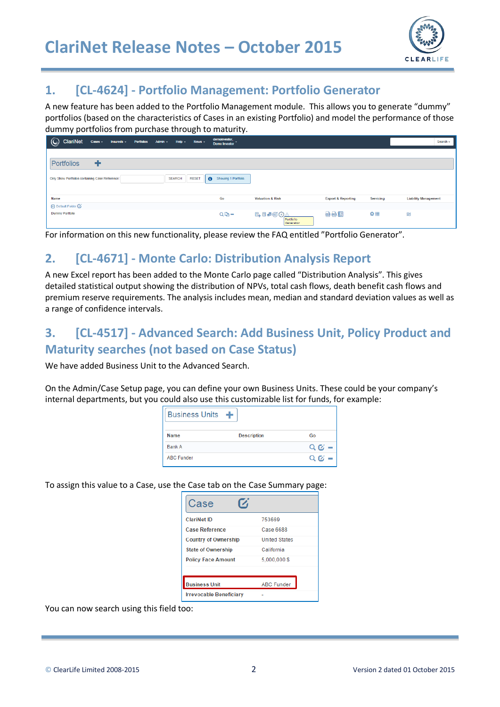

#### **1. [CL-4624] - Portfolio Management: Portfolio Generator**

A new feature has been added to the Portfolio Management module. This allows you to generate "dummy" portfolios (based on the characteristics of Cases in an existing Portfolio) and model the performance of those dummy portfolios from purchase through to maturity.

| C ClariNet<br>Cases - Insureds - Portfolios Admin - Help - News -  |               |              | demoinvestor,<br>Demo Investor    |                             |                               |           | Search -                    |
|--------------------------------------------------------------------|---------------|--------------|-----------------------------------|-----------------------------|-------------------------------|-----------|-----------------------------|
| ٠<br>Portfolios<br>Only Show Portfolios containing Case Reference: | <b>SEARCH</b> | <b>RESET</b> | Showing 1 Portfolio.<br>$\bullet$ |                             |                               |           |                             |
| Name                                                               |               |              | Go                                | <b>Valuation &amp; Risk</b> | <b>Export &amp; Reporting</b> | Servicing | <b>Liability Management</b> |
| O Default Folder <sup>7</sup><br><b>Dummy Portfolio</b>            |               |              | $QD -$                            | Portfolio<br>Generator      | 曲曲调                           | ≘ه        | $\approx$                   |

For information on this new functionality, please review the FAQ entitled "Portfolio Generator".

#### **2. [CL-4671] - Monte Carlo: Distribution Analysis Report**

A new Excel report has been added to the Monte Carlo page called "Distribution Analysis". This gives detailed statistical output showing the distribution of NPVs, total cash flows, death benefit cash flows and premium reserve requirements. The analysis includes mean, median and standard deviation values as well as a range of confidence intervals.

# **3. [CL-4517] - Advanced Search: Add Business Unit, Policy Product and Maturity searches (not based on Case Status)**

We have added Business Unit to the Advanced Search.

On the Admin/Case Setup page, you can define your own Business Units. These could be your company's internal departments, but you could also use this customizable list for funds, for example:

| <b>Business Units</b> | - 45               |                 |
|-----------------------|--------------------|-----------------|
| <b>Name</b>           | <b>Description</b> | Go              |
| Bank A                |                    | $Q_1K =$        |
| <b>ABC Funder</b>     |                    | $Q_1$ $Q_2$ $-$ |

To assign this value to a Case, use the Case tab on the Case Summary page:

| Case                           |                      |
|--------------------------------|----------------------|
| <b>ClariNet ID</b>             | 753669               |
| <b>Case Reference</b>          | Case 6688            |
| <b>Country of Ownership</b>    | <b>United States</b> |
| <b>State of Ownership</b>      | California           |
| <b>Policy Face Amount</b>      | 5.000.000 \$         |
|                                |                      |
| <b>Business Unit</b>           | <b>ABC Funder</b>    |
| <b>Irrevocable Beneficiary</b> |                      |

You can now search using this field too: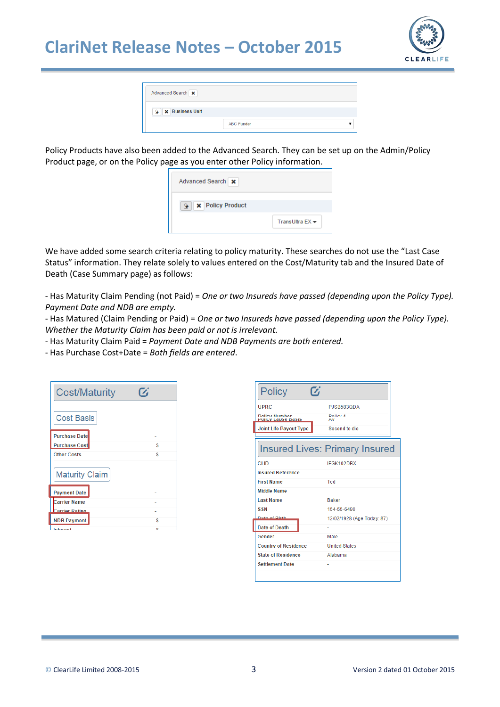# **ClariNet Release Notes – October 2015**



| Advanced Search        |                   |
|------------------------|-------------------|
| <b>X</b> Business Unit |                   |
|                        | <b>ABC Funder</b> |

Policy Products have also been added to the Advanced Search. They can be set up on the Admin/Policy Product page, or on the Policy page as you enter other Policy information.

| Advanced Search   x                              |                   |
|--------------------------------------------------|-------------------|
| $\mathbf{Q} \parallel \mathbf{x}$ Policy Product |                   |
|                                                  | TransUltra $EX -$ |

We have added some search criteria relating to policy maturity. These searches do not use the "Last Case Status" information. They relate solely to values entered on the Cost/Maturity tab and the Insured Date of Death (Case Summary page) as follows:

- Has Maturity Claim Pending (not Paid) = *One or two Insureds have passed (depending upon the Policy Type). Payment Date and NDB are empty.*

- Has Matured (Claim Pending or Paid) = *One or two Insureds have passed (depending upon the Policy Type). Whether the Maturity Claim has been paid or not is irrelevant.*

- Has Maturity Claim Paid = *Payment Date and NDB Payments are both entered.*

- Has Purchase Cost+Date = *Both fields are entered*.

| <b>Cost/Maturity</b>  |    |
|-----------------------|----|
| <b>Cost Basis</b>     |    |
| <b>Purchase Date</b>  |    |
| <b>Purchase Cost</b>  | \$ |
| <b>Other Costs</b>    | S  |
| <b>Maturity Claim</b> |    |
| <b>Payment Date</b>   |    |
| <b>Carrier Name</b>   |    |
| <b>Carrier Rating</b> |    |
| <b>NDB Payment</b>    | S  |
| Interest              |    |

| Policy<br>7                                      |                                       |
|--------------------------------------------------|---------------------------------------|
| <b>UPRC</b>                                      | PJSB583QDA                            |
| <b>Dolieu Number</b><br><b>OIIUV LAUSE DASIS</b> | Dolinu 4<br>M <sub>W</sub>            |
| <b>Joint Life Payout Type</b>                    | Second to die                         |
|                                                  |                                       |
|                                                  | <b>Insured Lives: Primary Insured</b> |
| CLID.                                            | IFGK102DBX                            |
| <b>Insured Reference</b>                         |                                       |
| <b>First Name</b>                                | Ted                                   |
| <b>Middle Name</b>                               |                                       |
| <b>Last Name</b>                                 | <b>Baker</b>                          |
| <b>SSN</b>                                       | 154-55-6490                           |
| <b>Date of Rirth</b>                             | 12/02/1928 (Age Today: 87)            |
| <b>Date of Death</b>                             |                                       |
| Gender                                           | Male                                  |
| <b>Country of Residence</b>                      | <b>United States</b>                  |
| <b>State of Residence</b>                        | Alabama                               |
| <b>Settlement Date</b>                           |                                       |
|                                                  |                                       |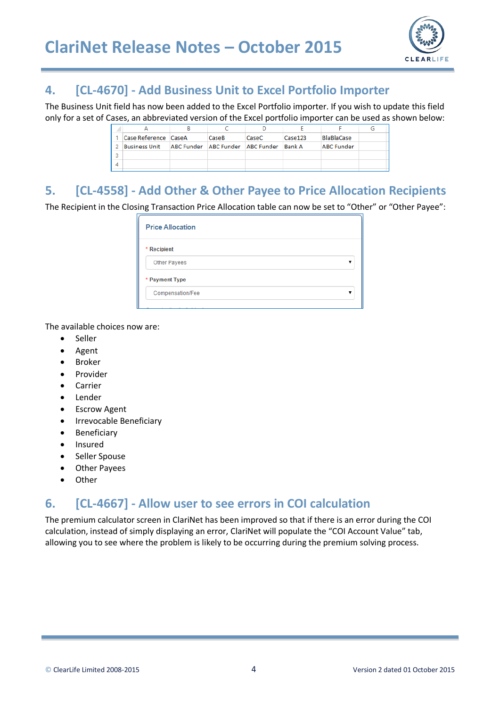

#### **4. [CL-4670] - Add Business Unit to Excel Portfolio Importer**

The Business Unit field has now been added to the Excel Portfolio importer. If you wish to update this field only for a set of Cases, an abbreviated version of the Excel portfolio importer can be used as shown below:

|   | Case Reference CaseA | CaseB                            | CaseC | Case 123      | <b>BlaBlaCase</b> |  |
|---|----------------------|----------------------------------|-------|---------------|-------------------|--|
|   | Business Unit        | ABC Funder ABC Funder ABC Funder |       | <b>Bank A</b> | <b>ABC Funder</b> |  |
| Þ |                      |                                  |       |               |                   |  |
|   |                      |                                  |       |               |                   |  |
|   |                      |                                  |       |               |                   |  |

# **5. [CL-4558] - Add Other & Other Payee to Price Allocation Recipients**

The Recipient in the Closing Transaction Price Allocation table can now be set to "Other" or "Other Payee":

| <b>Price Allocation</b> |  |
|-------------------------|--|
| * Recipient             |  |
| Other Payees            |  |
| * Payment Type          |  |
| Compensation/Fee        |  |
|                         |  |

The available choices now are:

- Seller
- Agent
- Broker
- Provider
- Carrier
- Lender
- Escrow Agent
- Irrevocable Beneficiary
- Beneficiary
- Insured
- Seller Spouse
- Other Payees
- Other

# **6. [CL-4667] - Allow user to see errors in COI calculation**

The premium calculator screen in ClariNet has been improved so that if there is an error during the COI calculation, instead of simply displaying an error, ClariNet will populate the "COI Account Value" tab, allowing you to see where the problem is likely to be occurring during the premium solving process.